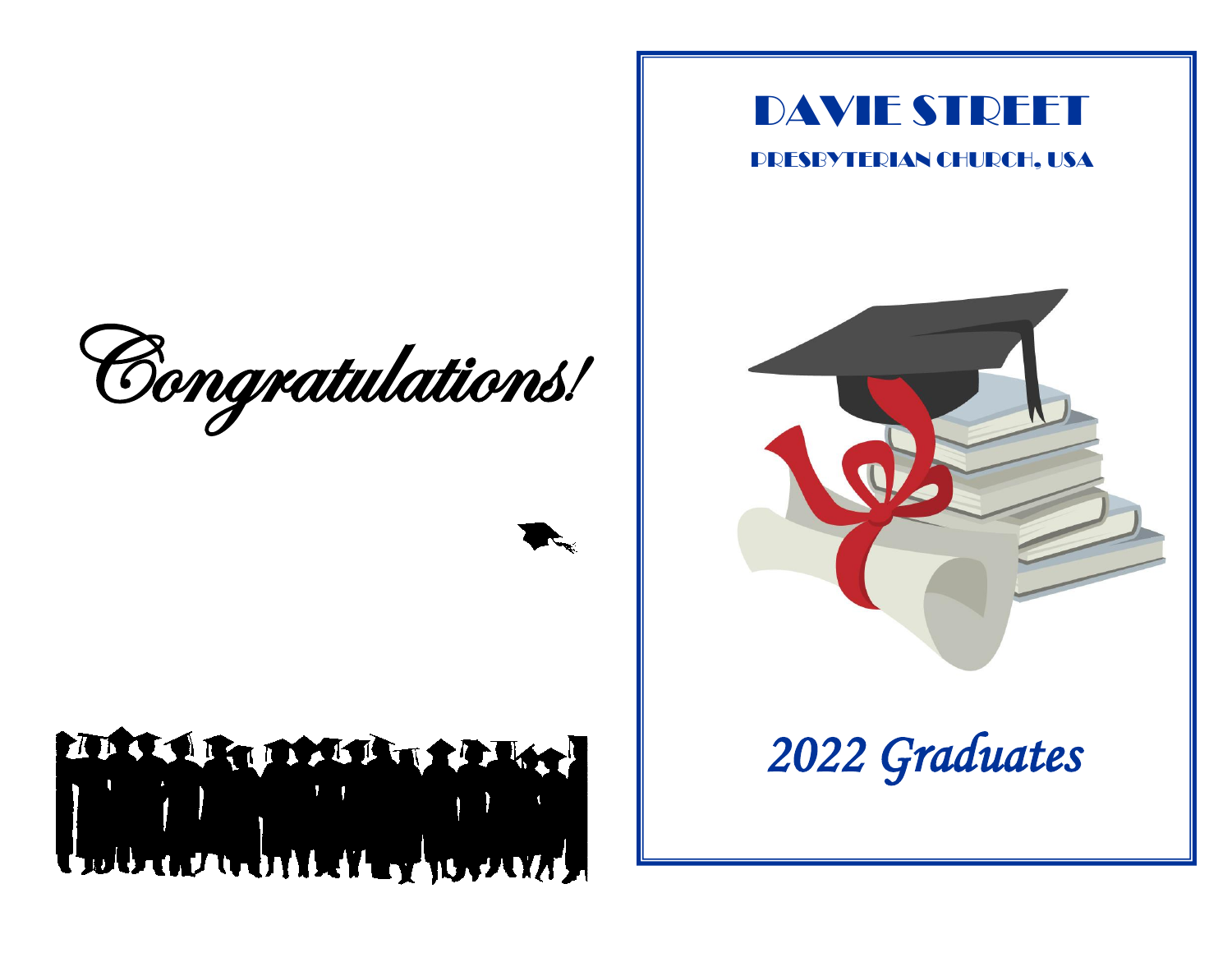

# THE LEADERS TRANSPORT

## DAVIE STREET

#### PRESBYTERIAN CHURCH, USA



*2022 Graduates*